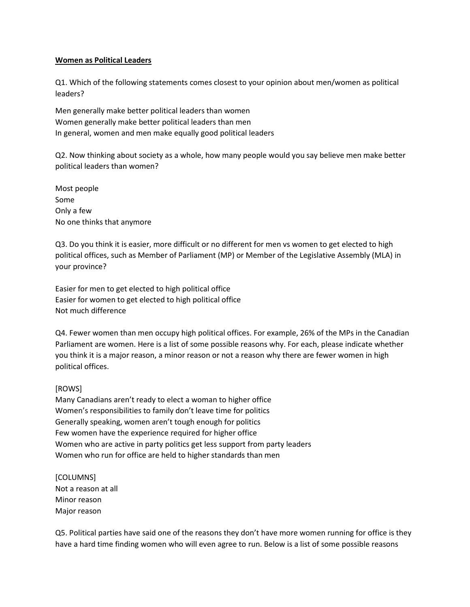## **Women as Political Leaders**

Q1. Which of the following statements comes closest to your opinion about men/women as political leaders?

Men generally make better political leaders than women Women generally make better political leaders than men In general, women and men make equally good political leaders

Q2. Now thinking about society as a whole, how many people would you say believe men make better political leaders than women?

Most people Some Only a few No one thinks that anymore

Q3. Do you think it is easier, more difficult or no different for men vs women to get elected to high political offices, such as Member of Parliament (MP) or Member of the Legislative Assembly (MLA) in your province?

Easier for men to get elected to high political office Easier for women to get elected to high political office Not much difference

Q4. Fewer women than men occupy high political offices. For example, 26% of the MPs in the Canadian Parliament are women. Here is a list of some possible reasons why. For each, please indicate whether you think it is a major reason, a minor reason or not a reason why there are fewer women in high political offices.

## [ROWS]

Many Canadians aren't ready to elect a woman to higher office Women's responsibilities to family don't leave time for politics Generally speaking, women aren't tough enough for politics Few women have the experience required for higher office Women who are active in party politics get less support from party leaders Women who run for office are held to higher standards than men

[COLUMNS] Not a reason at all Minor reason Major reason

Q5. Political parties have said one of the reasons they don't have more women running for office is they have a hard time finding women who will even agree to run. Below is a list of some possible reasons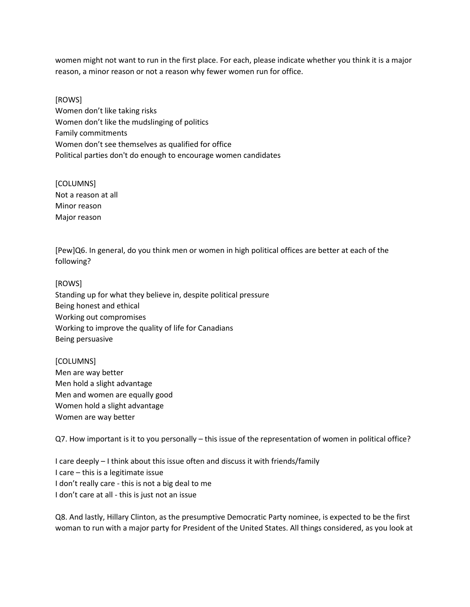women might not want to run in the first place. For each, please indicate whether you think it is a major reason, a minor reason or not a reason why fewer women run for office.

[ROWS] Women don't like taking risks Women don't like the mudslinging of politics Family commitments Women don't see themselves as qualified for office Political parties don't do enough to encourage women candidates

[COLUMNS] Not a reason at all Minor reason Major reason

[Pew]Q6. In general, do you think men or women in high political offices are better at each of the following?

## [ROWS]

Standing up for what they believe in, despite political pressure Being honest and ethical Working out compromises Working to improve the quality of life for Canadians Being persuasive

[COLUMNS] Men are way better Men hold a slight advantage Men and women are equally good Women hold a slight advantage Women are way better

Q7. How important is it to you personally – this issue of the representation of women in political office?

I care deeply – I think about this issue often and discuss it with friends/family I care – this is a legitimate issue I don't really care - this is not a big deal to me I don't care at all - this is just not an issue

Q8. And lastly, Hillary Clinton, as the presumptive Democratic Party nominee, is expected to be the first woman to run with a major party for President of the United States. All things considered, as you look at